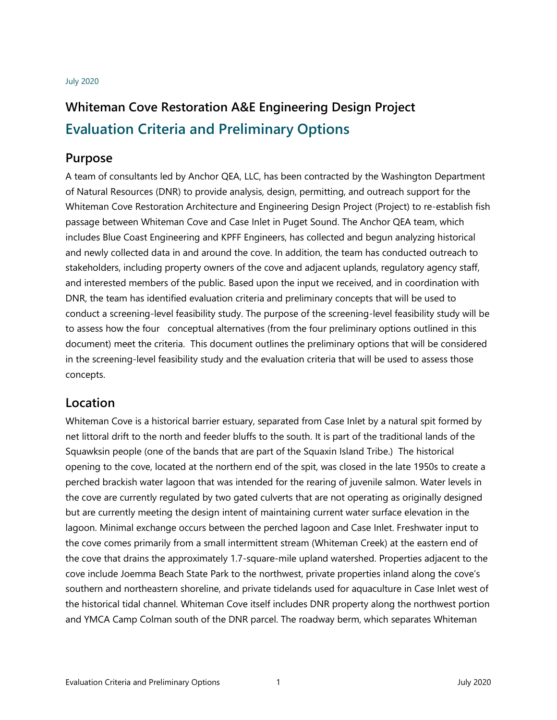#### July 2020

# **Whiteman Cove Restoration A&E Engineering Design Project Evaluation Criteria and Preliminary Options**

#### **Purpose**

A team of consultants led by Anchor QEA, LLC, has been contracted by the Washington Department of Natural Resources (DNR) to provide analysis, design, permitting, and outreach support for the Whiteman Cove Restoration Architecture and Engineering Design Project (Project) to re-establish fish passage between Whiteman Cove and Case Inlet in Puget Sound. The Anchor QEA team, which includes Blue Coast Engineering and KPFF Engineers, has collected and begun analyzing historical and newly collected data in and around the cove. In addition, the team has conducted outreach to stakeholders, including property owners of the cove and adjacent uplands, regulatory agency staff, and interested members of the public. Based upon the input we received, and in coordination with DNR, the team has identified evaluation criteria and preliminary concepts that will be used to conduct a screening-level feasibility study. The purpose of the screening-level feasibility study will be to assess how the four conceptual alternatives (from the four preliminary options outlined in this document) meet the criteria. This document outlines the preliminary options that will be considered in the screening-level feasibility study and the evaluation criteria that will be used to assess those concepts.

#### **Location**

Whiteman Cove is a historical barrier estuary, separated from Case Inlet by a natural spit formed by net littoral drift to the north and feeder bluffs to the south. It is part of the traditional lands of the Squawksin people (one of the bands that are part of the Squaxin Island Tribe.) The historical opening to the cove, located at the northern end of the spit, was closed in the late 1950s to create a perched brackish water lagoon that was intended for the rearing of juvenile salmon. Water levels in the cove are currently regulated by two gated culverts that are not operating as originally designed but are currently meeting the design intent of maintaining current water surface elevation in the lagoon. Minimal exchange occurs between the perched lagoon and Case Inlet. Freshwater input to the cove comes primarily from a small intermittent stream (Whiteman Creek) at the eastern end of the cove that drains the approximately 1.7-square-mile upland watershed. Properties adjacent to the cove include Joemma Beach State Park to the northwest, private properties inland along the cove's southern and northeastern shoreline, and private tidelands used for aquaculture in Case Inlet west of the historical tidal channel. Whiteman Cove itself includes DNR property along the northwest portion and YMCA Camp Colman south of the DNR parcel. The roadway berm, which separates Whiteman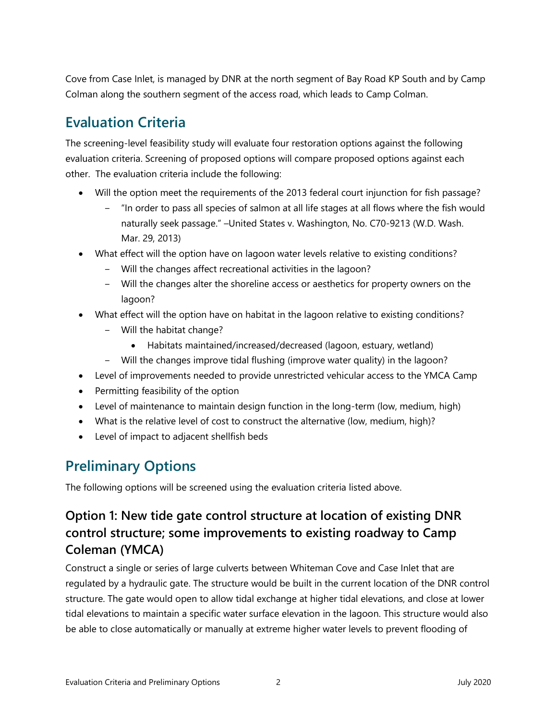Cove from Case Inlet, is managed by DNR at the north segment of Bay Road KP South and by Camp Colman along the southern segment of the access road, which leads to Camp Colman.

## **Evaluation Criteria**

The screening-level feasibility study will evaluate four restoration options against the following evaluation criteria. Screening of proposed options will compare proposed options against each other. The evaluation criteria include the following:

- Will the option meet the requirements of the 2013 federal court injunction for fish passage?
	- ‒ "In order to pass all species of salmon at all life stages at all flows where the fish would naturally seek passage." –United States v. Washington, No. C70-9213 (W.D. Wash. Mar. 29, 2013)
- What effect will the option have on lagoon water levels relative to existing conditions?
	- ‒ Will the changes affect recreational activities in the lagoon?
	- ‒ Will the changes alter the shoreline access or aesthetics for property owners on the lagoon?
- What effect will the option have on habitat in the lagoon relative to existing conditions?
	- ‒ Will the habitat change?
		- Habitats maintained/increased/decreased (lagoon, estuary, wetland)
	- ‒ Will the changes improve tidal flushing (improve water quality) in the lagoon?
- Level of improvements needed to provide unrestricted vehicular access to the YMCA Camp
- Permitting feasibility of the option
- Level of maintenance to maintain design function in the long-term (low, medium, high)
- What is the relative level of cost to construct the alternative (low, medium, high)?
- Level of impact to adjacent shellfish beds

## **Preliminary Options**

The following options will be screened using the evaluation criteria listed above.

### **Option 1: New tide gate control structure at location of existing DNR control structure; some improvements to existing roadway to Camp Coleman (YMCA)**

Construct a single or series of large culverts between Whiteman Cove and Case Inlet that are regulated by a hydraulic gate. The structure would be built in the current location of the DNR control structure. The gate would open to allow tidal exchange at higher tidal elevations, and close at lower tidal elevations to maintain a specific water surface elevation in the lagoon. This structure would also be able to close automatically or manually at extreme higher water levels to prevent flooding of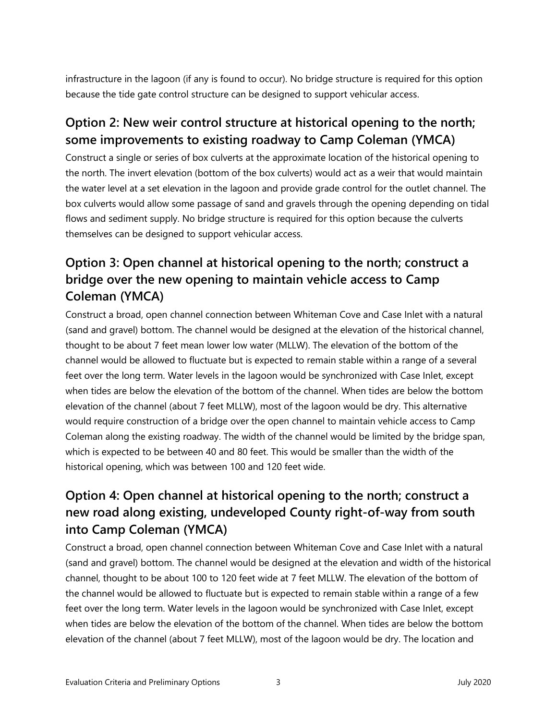infrastructure in the lagoon (if any is found to occur). No bridge structure is required for this option because the tide gate control structure can be designed to support vehicular access.

### **Option 2: New weir control structure at historical opening to the north; some improvements to existing roadway to Camp Coleman (YMCA)**

Construct a single or series of box culverts at the approximate location of the historical opening to the north. The invert elevation (bottom of the box culverts) would act as a weir that would maintain the water level at a set elevation in the lagoon and provide grade control for the outlet channel. The box culverts would allow some passage of sand and gravels through the opening depending on tidal flows and sediment supply. No bridge structure is required for this option because the culverts themselves can be designed to support vehicular access.

## **Option 3: Open channel at historical opening to the north; construct a bridge over the new opening to maintain vehicle access to Camp Coleman (YMCA)**

Construct a broad, open channel connection between Whiteman Cove and Case Inlet with a natural (sand and gravel) bottom. The channel would be designed at the elevation of the historical channel, thought to be about 7 feet mean lower low water (MLLW). The elevation of the bottom of the channel would be allowed to fluctuate but is expected to remain stable within a range of a several feet over the long term. Water levels in the lagoon would be synchronized with Case Inlet, except when tides are below the elevation of the bottom of the channel. When tides are below the bottom elevation of the channel (about 7 feet MLLW), most of the lagoon would be dry. This alternative would require construction of a bridge over the open channel to maintain vehicle access to Camp Coleman along the existing roadway. The width of the channel would be limited by the bridge span, which is expected to be between 40 and 80 feet. This would be smaller than the width of the historical opening, which was between 100 and 120 feet wide.

## **Option 4: Open channel at historical opening to the north; construct a new road along existing, undeveloped County right-of-way from south into Camp Coleman (YMCA)**

Construct a broad, open channel connection between Whiteman Cove and Case Inlet with a natural (sand and gravel) bottom. The channel would be designed at the elevation and width of the historical channel, thought to be about 100 to 120 feet wide at 7 feet MLLW. The elevation of the bottom of the channel would be allowed to fluctuate but is expected to remain stable within a range of a few feet over the long term. Water levels in the lagoon would be synchronized with Case Inlet, except when tides are below the elevation of the bottom of the channel. When tides are below the bottom elevation of the channel (about 7 feet MLLW), most of the lagoon would be dry. The location and